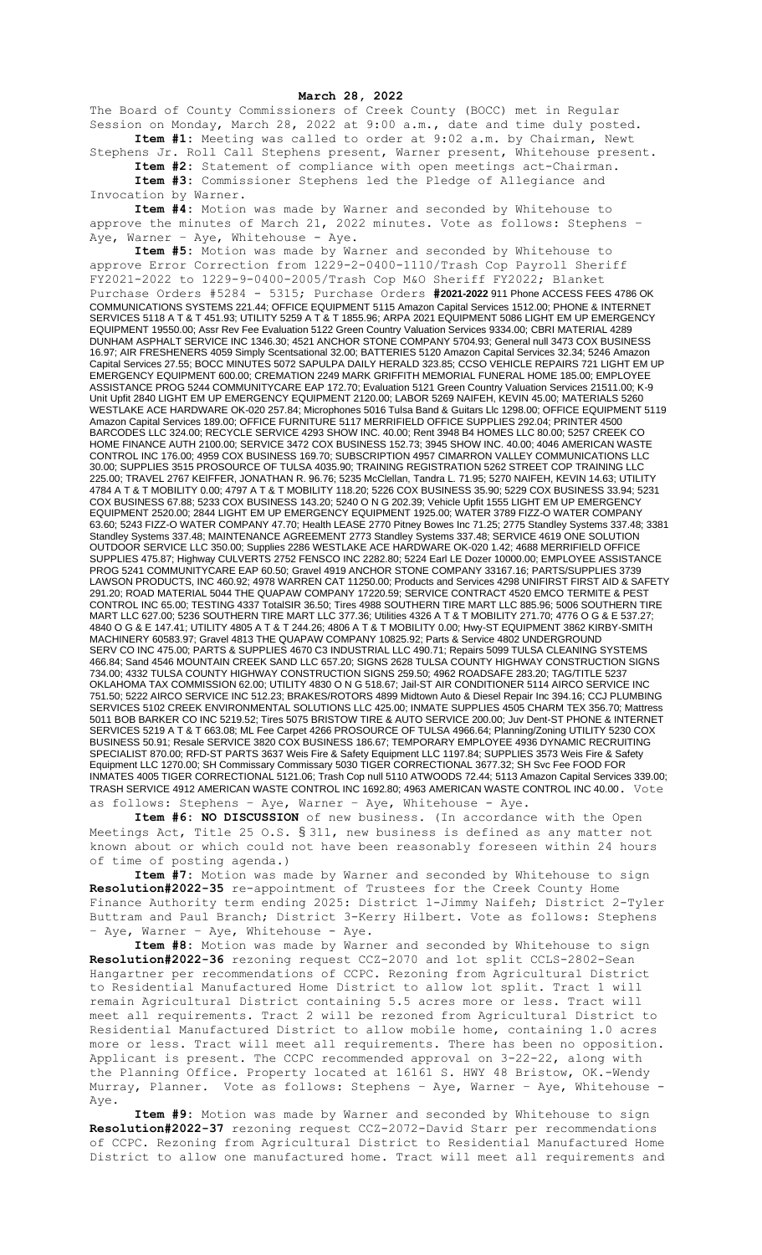**March 28, 2022**

The Board of County Commissioners of Creek County (BOCC) met in Regular Session on Monday, March 28, 2022 at 9:00 a.m., date and time duly posted. **Item #1:** Meeting was called to order at 9:02 a.m. by Chairman, Newt

Stephens Jr. Roll Call Stephens present, Warner present, Whitehouse present. **Item #2:** Statement of compliance with open meetings act-Chairman. **Item #3:** Commissioner Stephens led the Pledge of Allegiance and

Invocation by Warner. **Item #4:** Motion was made by Warner and seconded by Whitehouse to

approve the minutes of March 21, 2022 minutes. Vote as follows: Stephens – Aye, Warner - Aye, Whitehouse - Aye.

**Item #5:** Motion was made by Warner and seconded by Whitehouse to approve Error Correction from 1229-2-0400-1110/Trash Cop Payroll Sheriff FY2021-2022 to 1229-9-0400-2005/Trash Cop M&O Sheriff FY2022; Blanket

Purchase Orders #5284 - 5315; Purchase Orders **#2021-2022** 911 Phone ACCESS FEES 4786 OK COMMUNICATIONS SYSTEMS 221.44; OFFICE EQUIPMENT 5115 Amazon Capital Services 1512.00; PHONE & INTERNET SERVICES 5118 A T & T 451.93; UTILITY 5259 A T & T 1855.96; ARPA 2021 EQUIPMENT 5086 LIGHT EM UP EMERGENCY EQUIPMENT 19550.00; Assr Rev Fee Evaluation 5122 Green Country Valuation Services 9334.00; CBRI MATERIAL 4289 DUNHAM ASPHALT SERVICE INC 1346.30; 4521 ANCHOR STONE COMPANY 5704.93; General null 3473 COX BUSINESS 16.97; AIR FRESHENERS 4059 Simply Scentsational 32.00; BATTERIES 5120 Amazon Capital Services 32.34; 5246 Amazon Capital Services 27.55; BOCC MINUTES 5072 SAPULPA DAILY HERALD 323.85; CCSO VEHICLE REPAIRS 721 LIGHT EM UP EMERGENCY EQUIPMENT 600.00; CREMATION 2249 MARK GRIFFITH MEMORIAL FUNERAL HOME 185.00; EMPLOYEE ASSISTANCE PROG 5244 COMMUNITYCARE EAP 172.70; Evaluation 5121 Green Country Valuation Services 21511.00; K-9 Unit Upfit 2840 LIGHT EM UP EMERGENCY EQUIPMENT 2120.00; LABOR 5269 NAIFEH, KEVIN 45.00; MATERIALS 5260 WESTLAKE ACE HARDWARE OK-020 257.84; Microphones 5016 Tulsa Band & Guitars Llc 1298.00; OFFICE EQUIPMENT 5119 Amazon Capital Services 189.00; OFFICE FURNITURE 5117 MERRIFIELD OFFICE SUPPLIES 292.04; PRINTER 4500 BARCODES LLC 324.00; RECYCLE SERVICE 4293 SHOW INC. 40.00; Rent 3948 B4 HOMES LLC 80.00; 5257 CREEK CO HOME FINANCE AUTH 2100.00; SERVICE 3472 COX BUSINESS 152.73; 3945 SHOW INC. 40.00; 4046 AMERICAN WASTE CONTROL INC 176.00; 4959 COX BUSINESS 169.70; SUBSCRIPTION 4957 CIMARRON VALLEY COMMUNICATIONS LLC 30.00; SUPPLIES 3515 PROSOURCE OF TULSA 4035.90; TRAINING REGISTRATION 5262 STREET COP TRAINING LLC 225.00; TRAVEL 2767 KEIFFER, JONATHAN R. 96.76; 5235 McClellan, Tandra L. 71.95; 5270 NAIFEH, KEVIN 14.63; UTILITY 4784 A T & T MOBILITY 0.00; 4797 A T & T MOBILITY 118.20; 5226 COX BUSINESS 35.90; 5229 COX BUSINESS 33.94; 5231 COX BUSINESS 67.88; 5233 COX BUSINESS 143.20; 5240 O N G 202.39; Vehicle Upfit 1555 LIGHT EM UP EMERGENCY EQUIPMENT 2520.00; 2844 LIGHT EM UP EMERGENCY EQUIPMENT 1925.00; WATER 3789 FIZZ-O WATER COMPANY 63.60; 5243 FIZZ-O WATER COMPANY 47.70; Health LEASE 2770 Pitney Bowes Inc 71.25; 2775 Standley Systems 337.48; 3381 Standley Systems 337.48; MAINTENANCE AGREEMENT 2773 Standley Systems 337.48; SERVICE 4619 ONE SOLUTION OUTDOOR SERVICE LLC 350.00; Supplies 2286 WESTLAKE ACE HARDWARE OK-020 1.42; 4688 MERRIFIELD OFFICE SUPPLIES 475.87; Highway CULVERTS 2752 FENSCO INC 2282.80; 5224 Earl LE Dozer 10000.00; EMPLOYEE ASSISTANCE PROG 5241 COMMUNITYCARE EAP 60.50; Gravel 4919 ANCHOR STONE COMPANY 33167.16; PARTS/SUPPLIES 3739 LAWSON PRODUCTS, INC 460.92; 4978 WARREN CAT 11250.00; Products and Services 4298 UNIFIRST FIRST AID & SAFETY 291.20; ROAD MATERIAL 5044 THE QUAPAW COMPANY 17220.59; SERVICE CONTRACT 4520 EMCO TERMITE & PEST CONTROL INC 65.00; TESTING 4337 TotalSIR 36.50; Tires 4988 SOUTHERN TIRE MART LLC 885.96; 5006 SOUTHERN TIRE MART LLC 627.00; 5236 SOUTHERN TIRE MART LLC 377.36; Utilities 4326 A T & T MOBILITY 271.70; 4776 O G & E 537.27; 4840 O G & E 147.41; UTILITY 4805 A T & T 244.26; 4806 A T & T MOBILITY 0.00; Hwy-ST EQUIPMENT 3862 KIRBY-SMITH MACHINERY 60583.97; Gravel 4813 THE QUAPAW COMPANY 10825.92; Parts & Service 4802 UNDERGROUND SERV CO INC 475.00; PARTS & SUPPLIES 4670 C3 INDUSTRIAL LLC 490.71; Repairs 5099 TULSA CLEANING SYSTEMS 466.84; Sand 4546 MOUNTAIN CREEK SAND LLC 657.20; SIGNS 2628 TULSA COUNTY HIGHWAY CONSTRUCTION SIGNS 734.00; 4332 TULSA COUNTY HIGHWAY CONSTRUCTION SIGNS 259.50; 4962 ROADSAFE 283.20; TAG/TITLE 5237 OKLAHOMA TAX COMMISSION 62.00; UTILITY 4830 O N G 518.67; Jail-ST AIR CONDITIONER 5114 AIRCO SERVICE INC 751.50; 5222 AIRCO SERVICE INC 512.23; BRAKES/ROTORS 4899 Midtown Auto & Diesel Repair Inc 394.16; CCJ PLUMBING SERVICES 5102 CREEK ENVIRONMENTAL SOLUTIONS LLC 425.00; INMATE SUPPLIES 4505 CHARM TEX 356.70; Mattress 5011 BOB BARKER CO INC 5219.52; Tires 5075 BRISTOW TIRE & AUTO SERVICE 200.00; Juv Dent-ST PHONE & INTERNET SERVICES 5219 A T & T 663.08; ML Fee Carpet 4266 PROSOURCE OF TULSA 4966.64; Planning/Zoning UTILITY 5230 COX BUSINESS 50.91; Resale SERVICE 3820 COX BUSINESS 186.67; TEMPORARY EMPLOYEE 4936 DYNAMIC RECRUITING SPECIALIST 870.00; RFD-ST PARTS 3637 Weis Fire & Safety Equipment LLC 1197.84; SUPPLIES 3573 Weis Fire & Safety Equipment LLC 1270.00; SH Commissary Commissary 5030 TIGER CORRECTIONAL 3677.32; SH Svc Fee FOOD FOR INMATES 4005 TIGER CORRECTIONAL 5121.06; Trash Cop null 5110 ATWOODS 72.44; 5113 Amazon Capital Services 339.00; TRASH SERVICE 4912 AMERICAN WASTE CONTROL INC 1692.80; 4963 AMERICAN WASTE CONTROL INC 40.00. Vote as follows: Stephens – Aye, Warner – Aye, Whitehouse - Aye.

**Item #6: NO DISCUSSION** of new business. (In accordance with the Open

Meetings Act, Title 25 O.S. § 311, new business is defined as any matter not known about or which could not have been reasonably foreseen within 24 hours of time of posting agenda.)

**Item #7:** Motion was made by Warner and seconded by Whitehouse to sign **Resolution#2022-35** re-appointment of Trustees for the Creek County Home Finance Authority term ending 2025: District 1-Jimmy Naifeh; District 2-Tyler Buttram and Paul Branch; District 3-Kerry Hilbert. Vote as follows: Stephens - Aye, Warner - Aye, Whitehouse - Aye.

**Item #8:** Motion was made by Warner and seconded by Whitehouse to sign **Resolution#2022-36** rezoning request CCZ-2070 and lot split CCLS-2802-Sean Hangartner per recommendations of CCPC. Rezoning from Agricultural District to Residential Manufactured Home District to allow lot split. Tract 1 will remain Agricultural District containing 5.5 acres more or less. Tract will meet all requirements. Tract 2 will be rezoned from Agricultural District to Residential Manufactured District to allow mobile home, containing 1.0 acres more or less. Tract will meet all requirements. There has been no opposition. Applicant is present. The CCPC recommended approval on 3-22-22, along with the Planning Office. Property located at 16161 S. HWY 48 Bristow, OK.-Wendy Murray, Planner. Vote as follows: Stephens - Aye, Warner - Aye, Whitehouse -Aye.

**Item #9:** Motion was made by Warner and seconded by Whitehouse to sign **Resolution#2022-37** rezoning request CCZ-2072-David Starr per recommendations of CCPC. Rezoning from Agricultural District to Residential Manufactured Home District to allow one manufactured home. Tract will meet all requirements and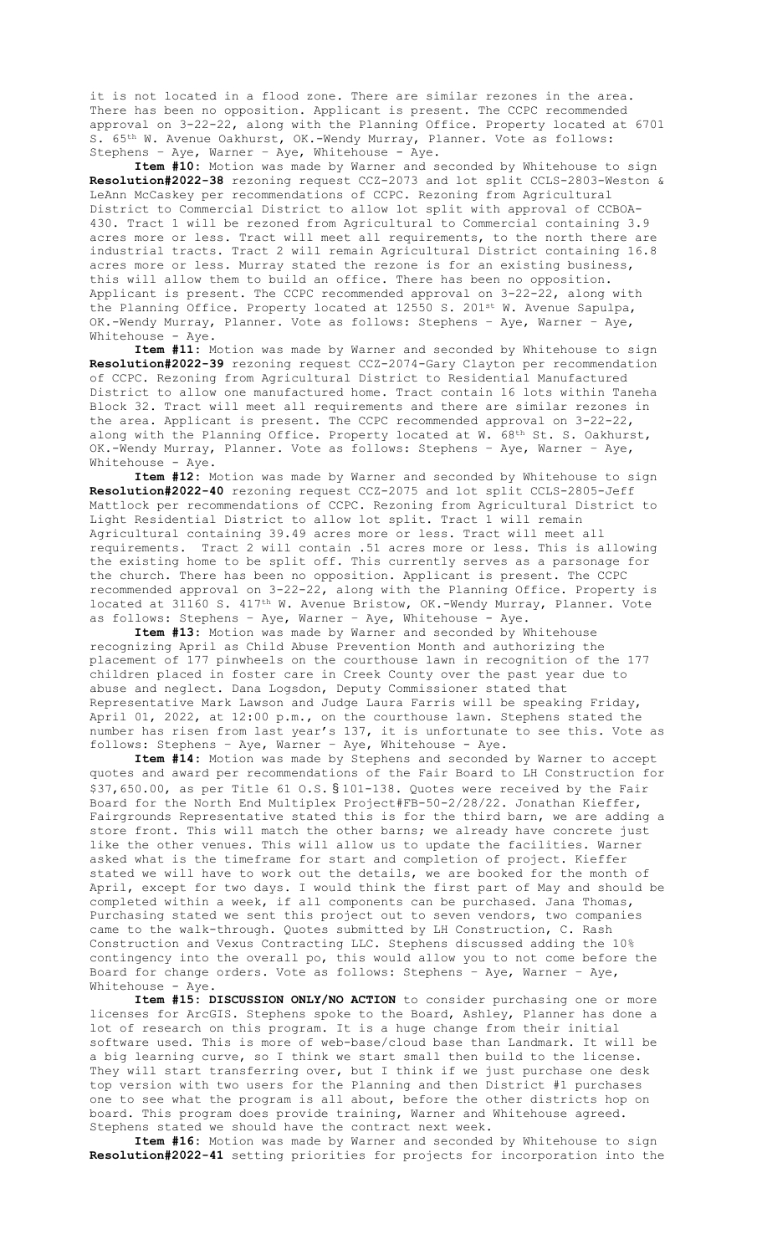it is not located in a flood zone. There are similar rezones in the area. There has been no opposition. Applicant is present. The CCPC recommended approval on 3-22-22, along with the Planning Office. Property located at 6701 S. 65th W. Avenue Oakhurst, OK.-Wendy Murray, Planner. Vote as follows: Stephens – Aye, Warner – Aye, Whitehouse - Aye.

**Item #10:** Motion was made by Warner and seconded by Whitehouse to sign **Resolution#2022-38** rezoning request CCZ-2073 and lot split CCLS-2803-Weston & LeAnn McCaskey per recommendations of CCPC. Rezoning from Agricultural District to Commercial District to allow lot split with approval of CCBOA-430. Tract 1 will be rezoned from Agricultural to Commercial containing 3.9 acres more or less. Tract will meet all requirements, to the north there are industrial tracts. Tract 2 will remain Agricultural District containing 16.8 acres more or less. Murray stated the rezone is for an existing business, this will allow them to build an office. There has been no opposition. Applicant is present. The CCPC recommended approval on 3-22-22, along with the Planning Office. Property located at 12550 S. 201st W. Avenue Sapulpa, OK.-Wendy Murray, Planner. Vote as follows: Stephens – Aye, Warner – Aye, Whitehouse - Aye.

**Item #11:** Motion was made by Warner and seconded by Whitehouse to sign **Resolution#2022-39** rezoning request CCZ-2074-Gary Clayton per recommendation of CCPC. Rezoning from Agricultural District to Residential Manufactured District to allow one manufactured home. Tract contain 16 lots within Taneha Block 32. Tract will meet all requirements and there are similar rezones in the area. Applicant is present. The CCPC recommended approval on 3-22-22, along with the Planning Office. Property located at W. 68th St. S. Oakhurst, OK.-Wendy Murray, Planner. Vote as follows: Stephens – Aye, Warner – Aye, Whitehouse - Aye.

**Item #12:** Motion was made by Warner and seconded by Whitehouse to sign **Resolution#2022-40** rezoning request CCZ-2075 and lot split CCLS-2805-Jeff Mattlock per recommendations of CCPC. Rezoning from Agricultural District to Light Residential District to allow lot split. Tract 1 will remain Agricultural containing 39.49 acres more or less. Tract will meet all requirements. Tract 2 will contain .51 acres more or less. This is allowing the existing home to be split off. This currently serves as a parsonage for the church. There has been no opposition. Applicant is present. The CCPC recommended approval on 3-22-22, along with the Planning Office. Property is located at 31160 S. 417<sup>th</sup> W. Avenue Bristow, OK.-Wendy Murray, Planner. Vote as follows: Stephens – Aye, Warner – Aye, Whitehouse - Aye.

**Item #13:** Motion was made by Warner and seconded by Whitehouse recognizing April as Child Abuse Prevention Month and authorizing the placement of 177 pinwheels on the courthouse lawn in recognition of the 177 children placed in foster care in Creek County over the past year due to abuse and neglect. Dana Logsdon, Deputy Commissioner stated that Representative Mark Lawson and Judge Laura Farris will be speaking Friday, April 01, 2022, at 12:00 p.m., on the courthouse lawn. Stephens stated the number has risen from last year's 137, it is unfortunate to see this. Vote as follows: Stephens – Aye, Warner – Aye, Whitehouse - Aye.

**Item #14:** Motion was made by Stephens and seconded by Warner to accept quotes and award per recommendations of the Fair Board to LH Construction for \$37,650.00, as per Title 61 O.S. § 101-138. Quotes were received by the Fair Board for the North End Multiplex Project#FB-50-2/28/22. Jonathan Kieffer, Fairgrounds Representative stated this is for the third barn, we are adding a store front. This will match the other barns; we already have concrete just like the other venues. This will allow us to update the facilities. Warner asked what is the timeframe for start and completion of project. Kieffer stated we will have to work out the details, we are booked for the month of April, except for two days. I would think the first part of May and should be completed within a week, if all components can be purchased. Jana Thomas, Purchasing stated we sent this project out to seven vendors, two companies came to the walk-through. Quotes submitted by LH Construction, C. Rash Construction and Vexus Contracting LLC. Stephens discussed adding the 10% contingency into the overall po, this would allow you to not come before the Board for change orders. Vote as follows: Stephens – Aye, Warner – Aye, Whitehouse - Aye.

**Item #15: DISCUSSION ONLY/NO ACTION** to consider purchasing one or more licenses for ArcGIS. Stephens spoke to the Board, Ashley, Planner has done a lot of research on this program. It is a huge change from their initial software used. This is more of web-base/cloud base than Landmark. It will be a big learning curve, so I think we start small then build to the license. They will start transferring over, but I think if we just purchase one desk top version with two users for the Planning and then District #1 purchases one to see what the program is all about, before the other districts hop on board. This program does provide training, Warner and Whitehouse agreed. Stephens stated we should have the contract next week.

**Item #16:** Motion was made by Warner and seconded by Whitehouse to sign **Resolution#2022-41** setting priorities for projects for incorporation into the